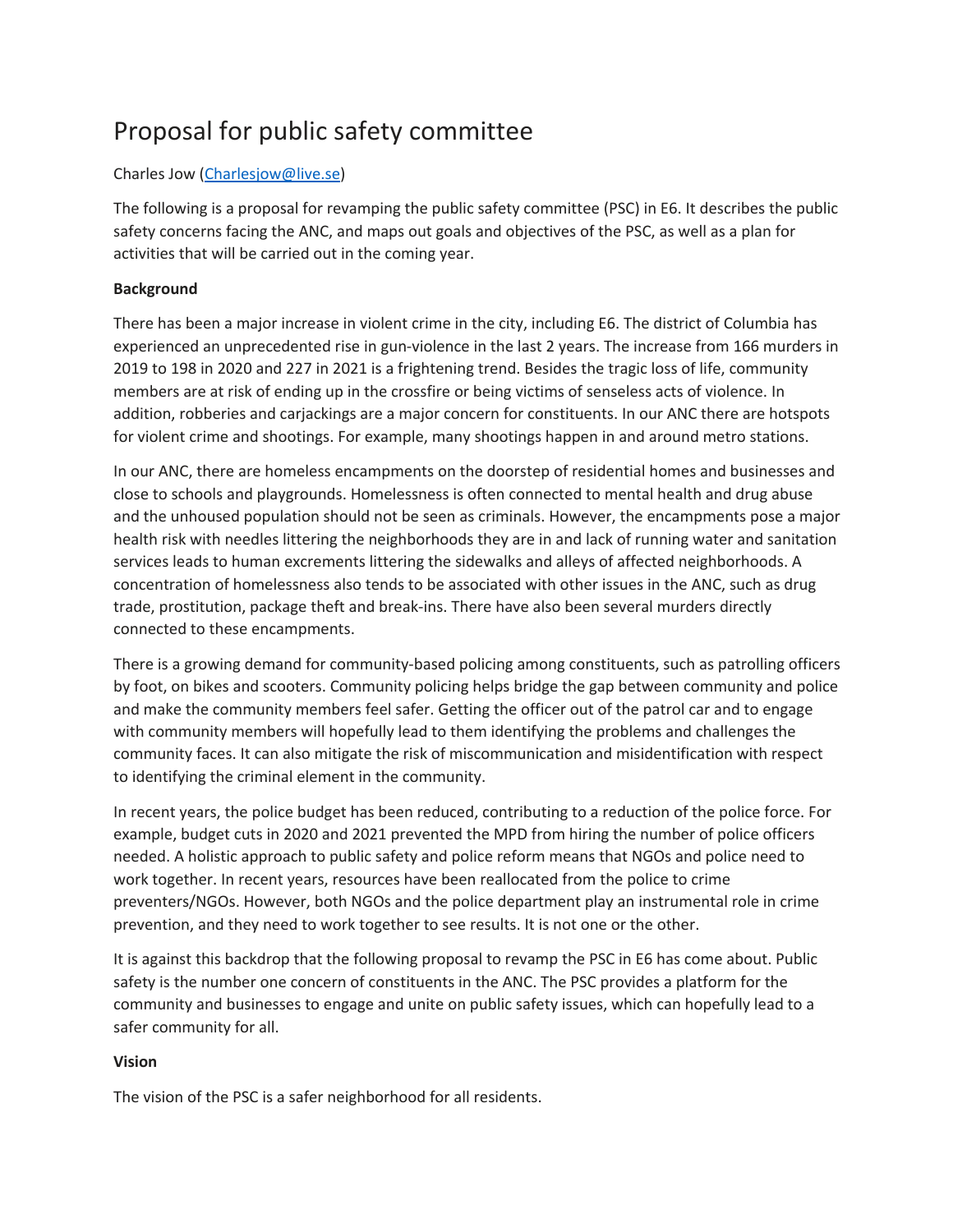# Proposal for public safety committee

# Charles Jow (Charlesjow@live.se)

The following is a proposal for revamping the public safety committee (PSC) in E6. It describes the public safety concerns facing the ANC, and maps out goals and objectives of the PSC, as well as a plan for activities that will be carried out in the coming year.

# **Background**

There has been a major increase in violent crime in the city, including E6. The district of Columbia has experienced an unprecedented rise in gun-violence in the last 2 years. The increase from 166 murders in 2019 to 198 in 2020 and 227 in 2021 is a frightening trend. Besides the tragic loss of life, community members are at risk of ending up in the crossfire or being victims of senseless acts of violence. In addition, robberies and carjackings are a major concern for constituents. In our ANC there are hotspots for violent crime and shootings. For example, many shootings happen in and around metro stations.

In our ANC, there are homeless encampments on the doorstep of residential homes and businesses and close to schools and playgrounds. Homelessness is often connected to mental health and drug abuse and the unhoused population should not be seen as criminals. However, the encampments pose a major health risk with needles littering the neighborhoods they are in and lack of running water and sanitation services leads to human excrements littering the sidewalks and alleys of affected neighborhoods. A concentration of homelessness also tends to be associated with other issues in the ANC, such as drug trade, prostitution, package theft and break-ins. There have also been several murders directly connected to these encampments.

There is a growing demand for community-based policing among constituents, such as patrolling officers by foot, on bikes and scooters. Community policing helps bridge the gap between community and police and make the community members feel safer. Getting the officer out of the patrol car and to engage with community members will hopefully lead to them identifying the problems and challenges the community faces. It can also mitigate the risk of miscommunication and misidentification with respect to identifying the criminal element in the community.

In recent years, the police budget has been reduced, contributing to a reduction of the police force. For example, budget cuts in 2020 and 2021 prevented the MPD from hiring the number of police officers needed. A holistic approach to public safety and police reform means that NGOs and police need to work together. In recent years, resources have been reallocated from the police to crime preventers/NGOs. However, both NGOs and the police department play an instrumental role in crime prevention, and they need to work together to see results. It is not one or the other.

It is against this backdrop that the following proposal to revamp the PSC in E6 has come about. Public safety is the number one concern of constituents in the ANC. The PSC provides a platform for the community and businesses to engage and unite on public safety issues, which can hopefully lead to a safer community for all.

#### **Vision**

The vision of the PSC is a safer neighborhood for all residents.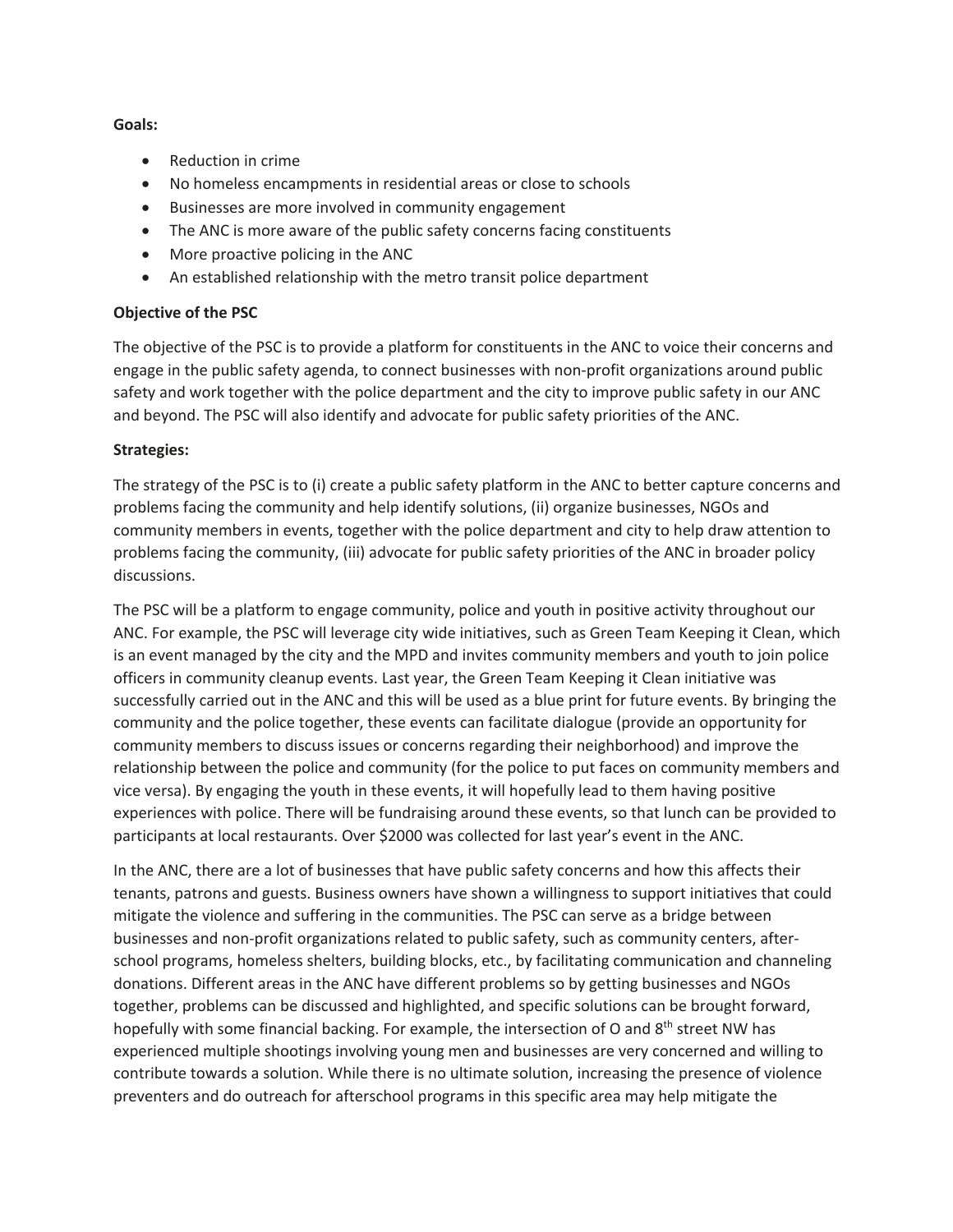#### **Goals:**

- Reduction in crime
- No homeless encampments in residential areas or close to schools
- Businesses are more involved in community engagement
- The ANC is more aware of the public safety concerns facing constituents
- More proactive policing in the ANC
- An established relationship with the metro transit police department

# **Objective of the PSC**

The objective of the PSC is to provide a platform for constituents in the ANC to voice their concerns and engage in the public safety agenda, to connect businesses with non-profit organizations around public safety and work together with the police department and the city to improve public safety in our ANC and beyond. The PSC will also identify and advocate for public safety priorities of the ANC.

# **Strategies:**

The strategy of the PSC is to (i) create a public safety platform in the ANC to better capture concerns and problems facing the community and help identify solutions, (ii) organize businesses, NGOs and community members in events, together with the police department and city to help draw attention to problems facing the community, (iii) advocate for public safety priorities of the ANC in broader policy discussions.

The PSC will be a platform to engage community, police and youth in positive activity throughout our ANC. For example, the PSC will leverage city wide initiatives, such as Green Team Keeping it Clean, which is an event managed by the city and the MPD and invites community members and youth to join police officers in community cleanup events. Last year, the Green Team Keeping it Clean initiative was successfully carried out in the ANC and this will be used as a blue print for future events. By bringing the community and the police together, these events can facilitate dialogue (provide an opportunity for community members to discuss issues or concerns regarding their neighborhood) and improve the relationship between the police and community (for the police to put faces on community members and vice versa). By engaging the youth in these events, it will hopefully lead to them having positive experiences with police. There will be fundraising around these events, so that lunch can be provided to participants at local restaurants. Over \$2000 was collected for last year's event in the ANC.

In the ANC, there are a lot of businesses that have public safety concerns and how this affects their tenants, patrons and guests. Business owners have shown a willingness to support initiatives that could mitigate the violence and suffering in the communities. The PSC can serve as a bridge between businesses and non-profit organizations related to public safety, such as community centers, afterschool programs, homeless shelters, building blocks, etc., by facilitating communication and channeling donations. Different areas in the ANC have different problems so by getting businesses and NGOs together, problems can be discussed and highlighted, and specific solutions can be brought forward, hopefully with some financial backing. For example, the intersection of O and 8<sup>th</sup> street NW has experienced multiple shootings involving young men and businesses are very concerned and willing to contribute towards a solution. While there is no ultimate solution, increasing the presence of violence preventers and do outreach for afterschool programs in this specific area may help mitigate the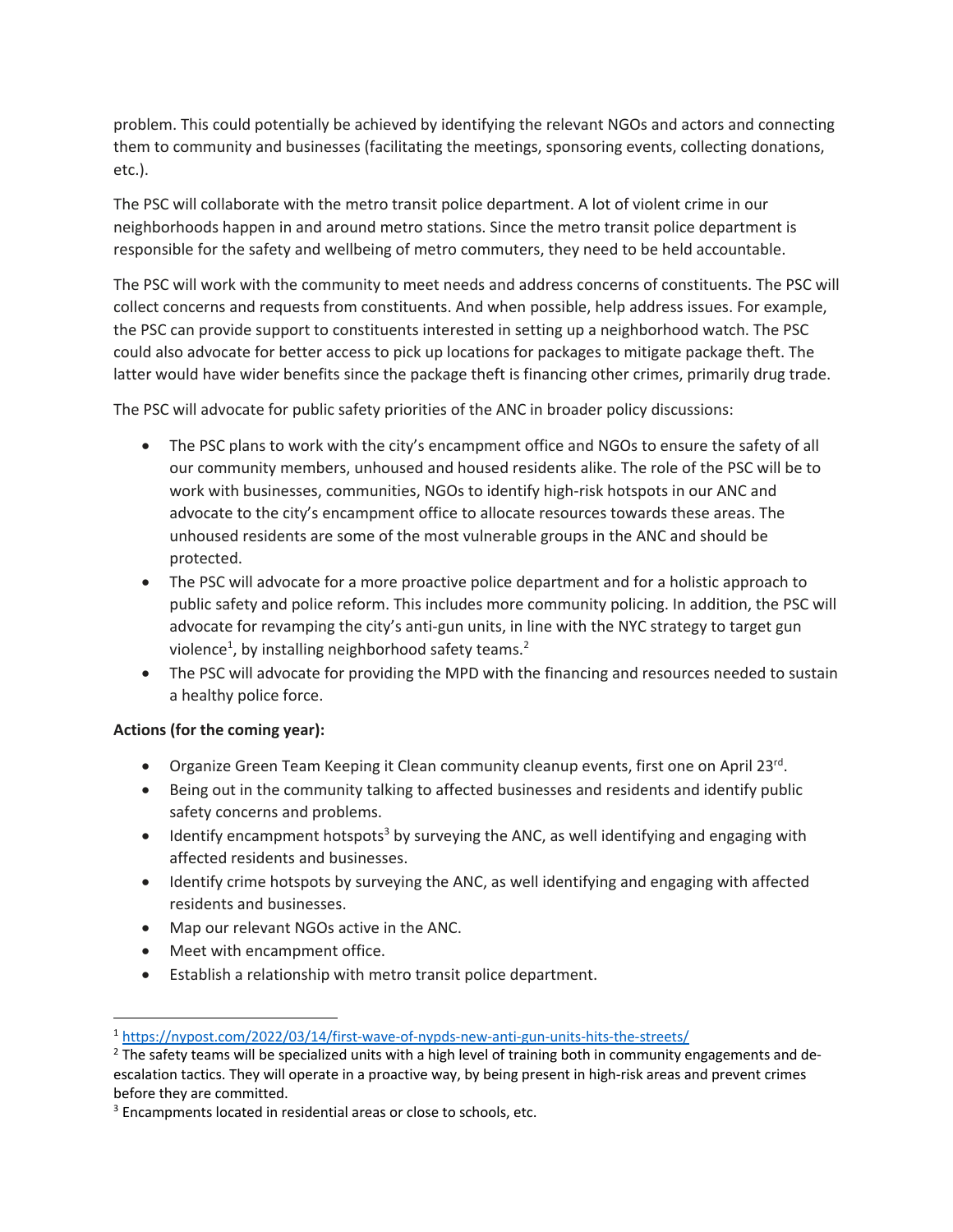problem. This could potentially be achieved by identifying the relevant NGOs and actors and connecting them to community and businesses (facilitating the meetings, sponsoring events, collecting donations, etc.).

The PSC will collaborate with the metro transit police department. A lot of violent crime in our neighborhoods happen in and around metro stations. Since the metro transit police department is responsible for the safety and wellbeing of metro commuters, they need to be held accountable.

The PSC will work with the community to meet needs and address concerns of constituents. The PSC will collect concerns and requests from constituents. And when possible, help address issues. For example, the PSC can provide support to constituents interested in setting up a neighborhood watch. The PSC could also advocate for better access to pick up locations for packages to mitigate package theft. The latter would have wider benefits since the package theft is financing other crimes, primarily drug trade.

The PSC will advocate for public safety priorities of the ANC in broader policy discussions:

- The PSC plans to work with the city's encampment office and NGOs to ensure the safety of all our community members, unhoused and housed residents alike. The role of the PSC will be to work with businesses, communities, NGOs to identify high-risk hotspots in our ANC and advocate to the city's encampment office to allocate resources towards these areas. The unhoused residents are some of the most vulnerable groups in the ANC and should be protected.
- The PSC will advocate for a more proactive police department and for a holistic approach to public safety and police reform. This includes more community policing. In addition, the PSC will advocate for revamping the city's anti-gun units, in line with the NYC strategy to target gun violence<sup>1</sup>, by installing neighborhood safety teams.<sup>2</sup>
- The PSC will advocate for providing the MPD with the financing and resources needed to sustain a healthy police force.

# **Actions (for the coming year):**

- Organize Green Team Keeping it Clean community cleanup events, first one on April 23rd.
- Being out in the community talking to affected businesses and residents and identify public safety concerns and problems.
- $\bullet$  Identify encampment hotspots<sup>3</sup> by surveying the ANC, as well identifying and engaging with affected residents and businesses.
- Identify crime hotspots by surveying the ANC, as well identifying and engaging with affected residents and businesses.
- Map our relevant NGOs active in the ANC.
- Meet with encampment office.
- Establish a relationship with metro transit police department.

<sup>1</sup> https://nypost.com/2022/03/14/first-wave-of-nypds-new-anti-gun-units-hits-the-streets/

<sup>&</sup>lt;sup>2</sup> The safety teams will be specialized units with a high level of training both in community engagements and deescalation tactics. They will operate in a proactive way, by being present in high-risk areas and prevent crimes before they are committed.

<sup>&</sup>lt;sup>3</sup> Encampments located in residential areas or close to schools, etc.